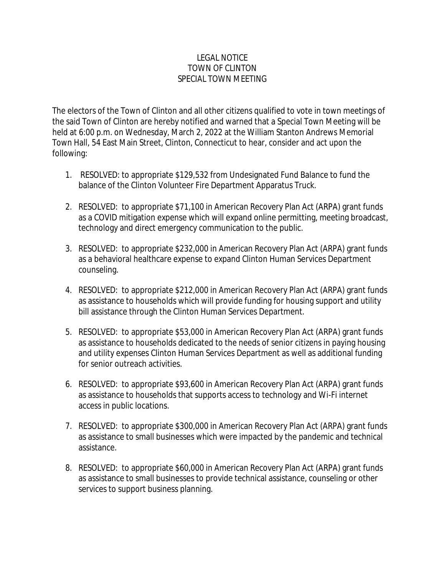## LEGAL NOTICE TOWN OF CLINTON SPECIAL TOWN MEETING

The electors of the Town of Clinton and all other citizens qualified to vote in town meetings of the said Town of Clinton are hereby notified and warned that a Special Town Meeting will be held at 6:00 p.m. on Wednesday, March 2, 2022 at the William Stanton Andrews Memorial Town Hall, 54 East Main Street, Clinton, Connecticut to hear, consider and act upon the following:

- 1. RESOLVED: to appropriate \$129,532 from Undesignated Fund Balance to fund the balance of the Clinton Volunteer Fire Department Apparatus Truck.
- 2. RESOLVED: to appropriate \$71,100 in American Recovery Plan Act (ARPA) grant funds as a COVID mitigation expense which will expand online permitting, meeting broadcast, technology and direct emergency communication to the public.
- 3. RESOLVED: to appropriate \$232,000 in American Recovery Plan Act (ARPA) grant funds as a behavioral healthcare expense to expand Clinton Human Services Department counseling.
- 4. RESOLVED: to appropriate \$212,000 in American Recovery Plan Act (ARPA) grant funds as assistance to households which will provide funding for housing support and utility bill assistance through the Clinton Human Services Department.
- 5. RESOLVED: to appropriate \$53,000 in American Recovery Plan Act (ARPA) grant funds as assistance to households dedicated to the needs of senior citizens in paying housing and utility expenses Clinton Human Services Department as well as additional funding for senior outreach activities.
- 6. RESOLVED: to appropriate \$93,600 in American Recovery Plan Act (ARPA) grant funds as assistance to households that supports access to technology and Wi-Fi internet access in public locations.
- 7. RESOLVED: to appropriate \$300,000 in American Recovery Plan Act (ARPA) grant funds as assistance to small businesses which were impacted by the pandemic and technical assistance.
- 8. RESOLVED: to appropriate \$60,000 in American Recovery Plan Act (ARPA) grant funds as assistance to small businesses to provide technical assistance, counseling or other services to support business planning.